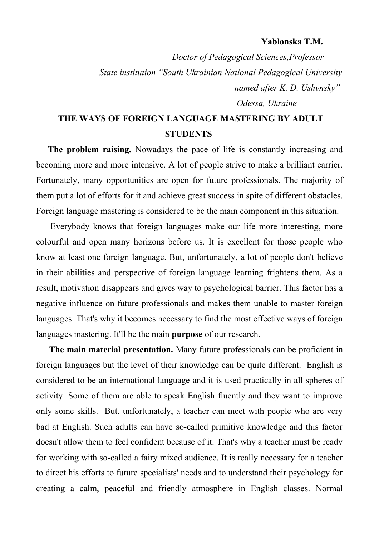## **Yablonska T.M.**

*Doctor of Pedagogical Sciences,Professor State institution "South Ukrainian National Pedagogical University* *named after K. D. Ushynsky" Odessa, Ukraine*

## **THE WAYS OF FOREIGN LANGUAGE MASTERING BY ADULT STUDENTS**

 **The problem raising.** Nowadays the pace of life is constantly increasing and becoming more and more intensive. A lot of people strive to make a brilliant carrier. Fortunately, many opportunities are open for future professionals. The majority of them put a lot of efforts for it and achieve great success in spite of different obstacles. Foreign language mastering is considered to be the main component in this situation.

 Everybody knows that foreign languages make our life more interesting, more colourful and open many horizons before us. It is excellent for those people who know at least one foreign language. But, unfortunately, a lot of people don't believe in their abilities and perspective of foreign language learning frightens them. As a result, motivation disappears and gives way to psychological barrier. This factor has a negative influence on future professionals and makes them unable to master foreign languages. That's why it becomes necessary to find the most effective ways of foreign languages mastering. It'll be the main **purpose** of our research.

 **The main material presentation.** Many future professionals can be proficient in foreign languages but the level of their knowledge can be quite different. English is considered to be an international language and it is used practically in all spheres of activity. Some of them are able to speak English fluently and they want to improve only some skills. But, unfortunately, a teacher can meet with people who are very bad at English. Such adults can have so-called primitive knowledge and this factor doesn't allow them to feel confident because of it. That's why a teacher must be ready for working with so-called a fairy mixed audience. It is really necessary for a teacher to direct his efforts to future specialists' needs and to understand their psychology for creating a calm, peaceful and friendly atmosphere in English classes. Normal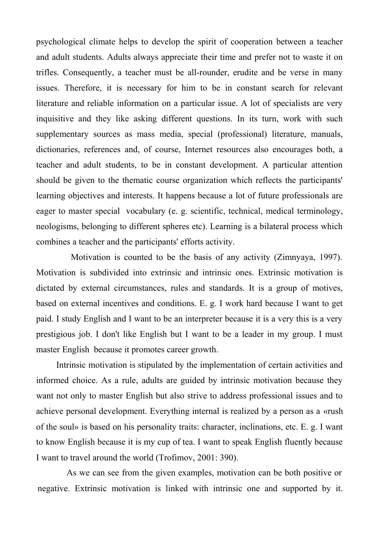psychological climate helps to develop the spirit of cooperation between a teacher and adult students. Adults always appreciate their time and prefer not to waste it on trifles. Consequently, a teacher must be all-rounder, erudite and be verse in many issues. Therefore, it is necessary for him to be in constant search for relevant literature and reliable information on a particular issue. A lot of specialists are very inquisitive and they like asking different questions. In its turn, work with such supplementary sources as mass media, special (professional) literature, manuals, dictionaries, references and, of course, Internet resources also encourages both, a teacher and adult students, to be in constant development. A particular attention should be given to the thematic course organization which reflects the participants' learning objectives and interests. It happens because a lot of future professionals are eager to master special vocabulary (e. g. scientific, technical, medical terminology, neologisms, belonging to different spheres etc). Learning is a bilateral process which combines a teacher and the participants' efforts activity.

 Motivation is counted to be the basis of any activity (Zimnyaya, 1997). Motivation is subdivided into extrinsic and intrinsic ones. Extrinsic motivation is dictated by external circumstances, rules and standards. It is a group of motives, based on external incentives and conditions. E. g. I work hard because I want to get paid. I study English and I want to be an interpreter because it is a very this is a very prestigious job. I don't like English but I want to be a leader in my group. I must master English because it promotes career growth.

 Intrinsic motivation is stipulated by the implementation of certain activities and informed choice. As a rule, adults are guided by intrinsic motivation because they want not only to master English but also strive to address professional issues and to achieve personal development. Everything internal is realized by a person as a «rush of the soul» is based on his personality traits: character, inclinations, etc. E. g. I want to know English because it is my cup of tea. I want to speak English fluently because I want to travel around the world (Trofimov, 2001: 390).

 As we can see from the given examples, motivation can be both positive or negative. Extrinsic motivation is linked with intrinsic one and supported by it.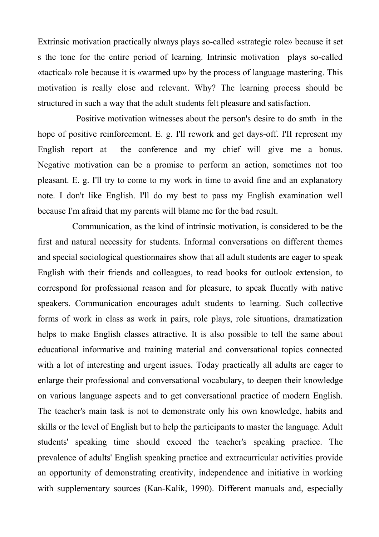Extrinsic motivation practically always plays so-called «strategic role» because it set s the tone for the entire period of learning. Intrinsic motivation plays so-called «tactical» role because it is «warmed up» by the process of language mastering. This motivation is really close and relevant. Why? The learning process should be structured in such a way that the adult students felt pleasure and satisfaction.

 Positive motivation witnesses about the person's desire to do smth in the hope of positive reinforcement. E. g. I'll rework and get days-off. I'II represent my English report at the conference and my chief will give me a bonus. Negative motivation can be a promise to perform an action, sometimes not too pleasant. E. g. I'll try to come to my work in time to avoid fine and an explanatory note. I don't like English. I'll do my best to pass my English examination well because I'm afraid that my parents will blame me for the bad result.

 Communication, as the kind of intrinsic motivation, is considered to be the first and natural necessity for students. Informal conversations on different themes and special sociological questionnaires show that all adult students are eager to speak English with their friends and colleagues, to read books for outlook extension, to correspond for professional reason and for pleasure, to speak fluently with native speakers. Communication encourages adult students to learning. Such collective forms of work in class as work in pairs, role plays, role situations, dramatization helps to make English classes attractive. It is also possible to tell the same about educational informative and training material and conversational topics connected with a lot of interesting and urgent issues. Today practically all adults are eager to enlarge their professional and conversational vocabulary, to deepen their knowledge on various language aspects and to get conversational practice of modern English. The teacher's main task is not to demonstrate only his own knowledge, habits and skills or the level of English but to help the participants to master the language. Adult students' speaking time should exceed the teacher's speaking practice. The prevalence of adults' English speaking practice and extracurricular activities provide an opportunity of demonstrating creativity, independence and initiative in working with supplementary sources (Kan-Kalik, 1990). Different manuals and, especially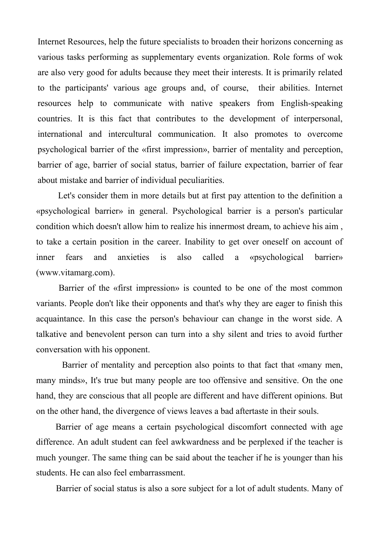Internet Resources, help the future specialists to broaden their horizons concerning as various tasks performing as supplementary events organization. Role forms of wok are also very good for adults because they meet their interests. It is primarily related to the participants' various age groups and, of course, their abilities. Internet resources help to communicate with native speakers from English-speaking countries. It is this fact that contributes to the development of interpersonal, international and intercultural communication. It also promotes to overcome psychological barrier of the «first impression», barrier of mentality and perception, barrier of age, barrier of social status, barrier of failure expectation, barrier of fear about mistake and barrier of individual peculiarities.

 Let's consider them in more details but at first pay attention to the definition a «psychological barrier» in general. Psychological barrier is a person's particular condition which doesn't allow him to realize his innermost dream, to achieve his aim , to take a certain position in the career. Inability to get over oneself on account of inner fears and anxieties is also called a «psychological barrier» (www.vitamarg.com).

 Barrier of the «first impression» is counted to be one of the most common variants. People don't like their opponents and that's why they are eager to finish this acquaintance. In this case the person's behaviour can change in the worst side. A talkative and benevolent person can turn into a shy silent and tries to avoid further conversation with his opponent.

 Barrier of mentality and perception also points to that fact that «many men, many minds», It's true but many people are too offensive and sensitive. On the one hand, they are conscious that all people are different and have different opinions. But on the other hand, the divergence of views leaves a bad aftertaste in their souls.

 Barrier of age means a certain psychological discomfort connected with age difference. An adult student can feel awkwardness and be perplexed if the teacher is much younger. The same thing can be said about the teacher if he is younger than his students. He can also feel embarrassment.

Barrier of social status is also a sore subject for a lot of adult students. Many of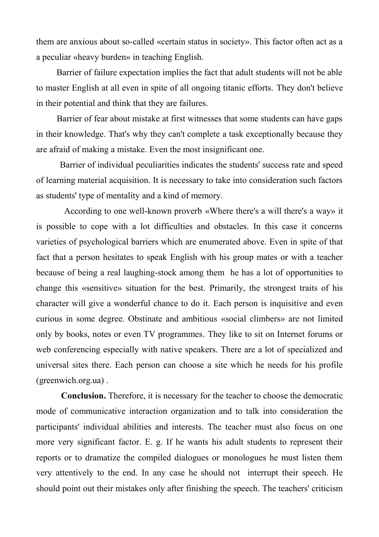them are anxious about so-called «certain status in society». This factor often act as a a peculiar «heavy burden» in teaching English.

 Barrier of failure expectation implies the fact that adult students will not be able to master English at all even in spite of all ongoing titanic efforts. They don't believe in their potential and think that they are failures.

 Barrier of fear about mistake at first witnesses that some students can have gaps in their knowledge. That's why they can't complete a task exceptionally because they are afraid of making a mistake. Even the most insignificant one.

 Barrier of individual peculiarities indicates the students' success rate and speed of learning material acquisition. It is necessary to take into consideration such factors as students' type of mentality and a kind of memory.

 According to one well-known proverb «Where there's a will there's a way» it is possible to cope with a lot difficulties and obstacles. In this case it concerns varieties of psychological barriers which are enumerated above. Even in spite of that fact that a person hesitates to speak English with his group mates or with a teacher because of being a real laughing-stock among them he has a lot of opportunities to change this «sensitive» situation for the best. Primarily, the strongest traits of his character will give a wonderful chance to do it. Each person is inquisitive and even curious in some degree. Obstinate and ambitious «social climbers» are not limited only by books, notes or even TV programmes. They like to sit on Internet forums or web conferencing especially with native speakers. There are a lot of specialized and universal sites there. Each person can choose a site which he needs for his profile (greenwich.org.ua) .

 **Conclusion.** Therefore, it is necessary for the teacher to choose the democratic mode of communicative interaction organization and to talk into consideration the participants' individual abilities and interests. The teacher must also focus on one more very significant factor. E. g. If he wants his adult students to represent their reports or to dramatize the compiled dialogues or monologues he must listen them very attentively to the end. In any case he should not interrupt their speech. He should point out their mistakes only after finishing the speech. The teachers' criticism